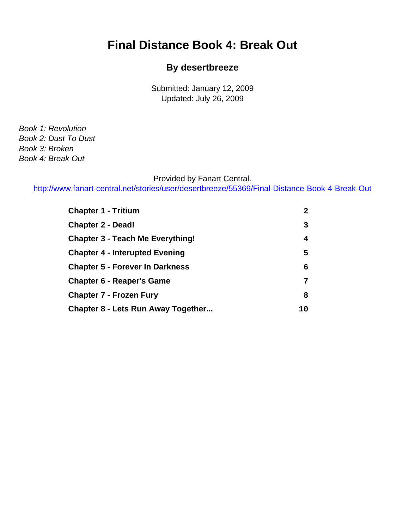## <span id="page-0-0"></span>**Final Distance Book 4: Break Out**

#### **By desertbreeze**

Submitted: January 12, 2009 Updated: July 26, 2009

Book 1: Revolution Book 2: Dust To Dust Book 3: Broken Book 4: Break Out

Provided by Fanart Central.

[http://www.fanart-central.net/stories/user/desertbreeze/55369/Final-Distance-Book-4-Break-Out](#page-0-0)

| <b>Chapter 1 - Tritium</b>              | $\overline{2}$ |
|-----------------------------------------|----------------|
| <b>Chapter 2 - Dead!</b>                | 3              |
| <b>Chapter 3 - Teach Me Everything!</b> | 4              |
| <b>Chapter 4 - Interupted Evening</b>   | 5              |
| <b>Chapter 5 - Forever In Darkness</b>  | 6              |
| <b>Chapter 6 - Reaper's Game</b>        | 7              |
| <b>Chapter 7 - Frozen Fury</b>          | 8              |
| Chapter 8 - Lets Run Away Together      | 10             |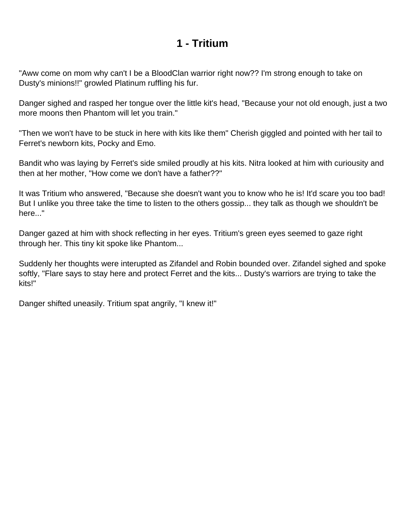#### **1 - Tritium**

<span id="page-1-0"></span>"Aww come on mom why can't I be a BloodClan warrior right now?? I'm strong enough to take on Dusty's minions!!" growled Platinum ruffling his fur.

Danger sighed and rasped her tongue over the little kit's head, "Because your not old enough, just a two more moons then Phantom will let you train."

"Then we won't have to be stuck in here with kits like them" Cherish giggled and pointed with her tail to Ferret's newborn kits, Pocky and Emo.

Bandit who was laying by Ferret's side smiled proudly at his kits. Nitra looked at him with curiousity and then at her mother, "How come we don't have a father??"

It was Tritium who answered, "Because she doesn't want you to know who he is! It'd scare you too bad! But I unlike you three take the time to listen to the others gossip... they talk as though we shouldn't be here..."

Danger gazed at him with shock reflecting in her eyes. Tritium's green eyes seemed to gaze right through her. This tiny kit spoke like Phantom...

Suddenly her thoughts were interupted as Zifandel and Robin bounded over. Zifandel sighed and spoke softly, "Flare says to stay here and protect Ferret and the kits... Dusty's warriors are trying to take the kits!"

Danger shifted uneasily. Tritium spat angrily, "I knew it!"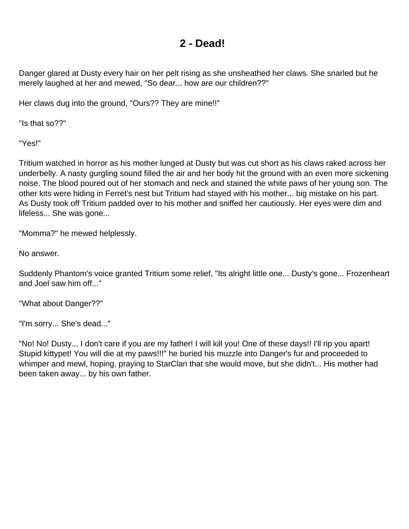#### **2 - Dead!**

<span id="page-2-0"></span>Danger glared at Dusty every hair on her pelt rising as she unsheathed her claws. She snarled but he merely laughed at her and mewed, "So dear... how are our children??"

Her claws dug into the ground, "Ours?? They are mine!!"

"Is that so??"

"Yes!"

Tritium watched in horror as his mother lunged at Dusty but was cut short as his claws raked across her underbelly. A nasty gurgling sound filled the air and her body hit the ground with an even more sickening noise. The blood poured out of her stomach and neck and stained the white paws of her young son. The other kits were hiding in Ferret's nest but Tritium had stayed with his mother... big mistake on his part. As Dusty took off Tritium padded over to his mother and sniffed her cautiously. Her eyes were dim and lifeless... She was gone...

"Momma?" he mewed helplessly.

No answer.

Suddenly Phantom's voice granted Tritium some relief, "Its alright little one... Dusty's gone... Frozenheart and Joel saw him off..."

"What about Danger??"

"I'm sorry... She's dead..."

"No! No! Dusty... I don't care if you are my father! I will kill you! One of these days!! I'll rip you apart! Stupid kittypet! You will die at my paws!!!" he buried his muzzle into Danger's fur and proceeded to whimper and mewl, hoping, praying to StarClan that she would move, but she didn't... His mother had been taken away... by his own father.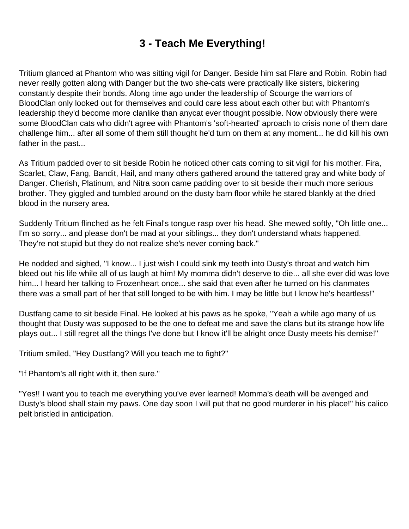# **3 - Teach Me Everything!**

<span id="page-3-0"></span>Tritium glanced at Phantom who was sitting vigil for Danger. Beside him sat Flare and Robin. Robin had never really gotten along with Danger but the two she-cats were practically like sisters, bickering constantly despite their bonds. Along time ago under the leadership of Scourge the warriors of BloodClan only looked out for themselves and could care less about each other but with Phantom's leadership they'd become more clanlike than anycat ever thought possible. Now obviously there were some BloodClan cats who didn't agree with Phantom's 'soft-hearted' aproach to crisis none of them dare challenge him... after all some of them still thought he'd turn on them at any moment... he did kill his own father in the past...

As Tritium padded over to sit beside Robin he noticed other cats coming to sit vigil for his mother. Fira, Scarlet, Claw, Fang, Bandit, Hail, and many others gathered around the tattered gray and white body of Danger. Cherish, Platinum, and Nitra soon came padding over to sit beside their much more serious brother. They giggled and tumbled around on the dusty barn floor while he stared blankly at the dried blood in the nursery area.

Suddenly Tritium flinched as he felt Final's tongue rasp over his head. She mewed softly, "Oh little one... I'm so sorry... and please don't be mad at your siblings... they don't understand whats happened. They're not stupid but they do not realize she's never coming back."

He nodded and sighed, "I know... I just wish I could sink my teeth into Dusty's throat and watch him bleed out his life while all of us laugh at him! My momma didn't deserve to die... all she ever did was love him... I heard her talking to Frozenheart once... she said that even after he turned on his clanmates there was a small part of her that still longed to be with him. I may be little but I know he's heartless!"

Dustfang came to sit beside Final. He looked at his paws as he spoke, "Yeah a while ago many of us thought that Dusty was supposed to be the one to defeat me and save the clans but its strange how life plays out... I still regret all the things I've done but I know it'll be alright once Dusty meets his demise!"

Tritium smiled, "Hey Dustfang? Will you teach me to fight?"

"If Phantom's all right with it, then sure."

"Yes!! I want you to teach me everything you've ever learned! Momma's death will be avenged and Dusty's blood shall stain my paws. One day soon I will put that no good murderer in his place!" his calico pelt bristled in anticipation.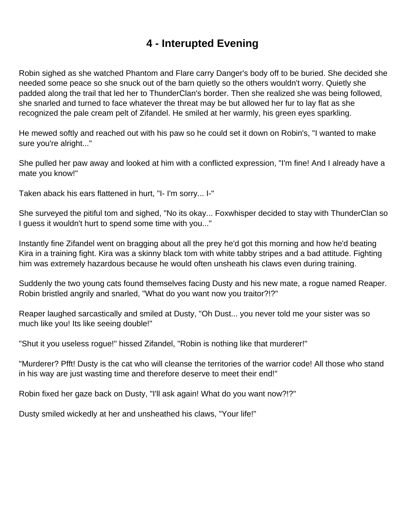## **4 - Interupted Evening**

<span id="page-4-0"></span>Robin sighed as she watched Phantom and Flare carry Danger's body off to be buried. She decided she needed some peace so she snuck out of the barn quietly so the others wouldn't worry. Quietly she padded along the trail that led her to ThunderClan's border. Then she realized she was being followed, she snarled and turned to face whatever the threat may be but allowed her fur to lay flat as she recognized the pale cream pelt of Zifandel. He smiled at her warmly, his green eyes sparkling.

He mewed softly and reached out with his paw so he could set it down on Robin's, "I wanted to make sure you're alright..."

She pulled her paw away and looked at him with a conflicted expression, "I'm fine! And I already have a mate you know!"

Taken aback his ears flattened in hurt, "I- I'm sorry... I-"

She surveyed the pitiful tom and sighed, "No its okay... Foxwhisper decided to stay with ThunderClan so I guess it wouldn't hurt to spend some time with you..."

Instantly fine Zifandel went on bragging about all the prey he'd got this morning and how he'd beating Kira in a training fight. Kira was a skinny black tom with white tabby stripes and a bad attitude. Fighting him was extremely hazardous because he would often unsheath his claws even during training.

Suddenly the two young cats found themselves facing Dusty and his new mate, a rogue named Reaper. Robin bristled angrily and snarled, "What do you want now you traitor?!?"

Reaper laughed sarcastically and smiled at Dusty, "Oh Dust... you never told me your sister was so much like you! Its like seeing double!"

"Shut it you useless rogue!" hissed Zifandel, "Robin is nothing like that murderer!"

"Murderer? Pfft! Dusty is the cat who will cleanse the territories of the warrior code! All those who stand in his way are just wasting time and therefore deserve to meet their end!"

Robin fixed her gaze back on Dusty, "I'll ask again! What do you want now?!?"

Dusty smiled wickedly at her and unsheathed his claws, "Your life!"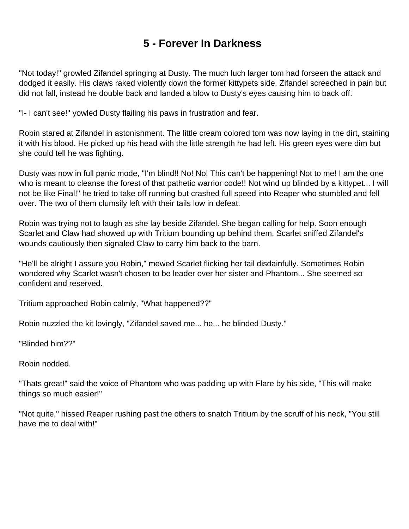## **5 - Forever In Darkness**

<span id="page-5-0"></span>"Not today!" growled Zifandel springing at Dusty. The much luch larger tom had forseen the attack and dodged it easily. His claws raked violently down the former kittypets side. Zifandel screeched in pain but did not fall, instead he double back and landed a blow to Dusty's eyes causing him to back off.

"I- I can't see!" yowled Dusty flailing his paws in frustration and fear.

Robin stared at Zifandel in astonishment. The little cream colored tom was now laying in the dirt, staining it with his blood. He picked up his head with the little strength he had left. His green eyes were dim but she could tell he was fighting.

Dusty was now in full panic mode, "I'm blind!! No! No! This can't be happening! Not to me! I am the one who is meant to cleanse the forest of that pathetic warrior code!! Not wind up blinded by a kittypet... I will not be like Final!" he tried to take off running but crashed full speed into Reaper who stumbled and fell over. The two of them clumsily left with their tails low in defeat.

Robin was trying not to laugh as she lay beside Zifandel. She began calling for help. Soon enough Scarlet and Claw had showed up with Tritium bounding up behind them. Scarlet sniffed Zifandel's wounds cautiously then signaled Claw to carry him back to the barn.

"He'll be alright I assure you Robin," mewed Scarlet flicking her tail disdainfully. Sometimes Robin wondered why Scarlet wasn't chosen to be leader over her sister and Phantom... She seemed so confident and reserved.

Tritium approached Robin calmly, "What happened??"

Robin nuzzled the kit lovingly, "Zifandel saved me... he... he blinded Dusty."

"Blinded him??"

Robin nodded.

"Thats great!" said the voice of Phantom who was padding up with Flare by his side, "This will make things so much easier!"

"Not quite," hissed Reaper rushing past the others to snatch Tritium by the scruff of his neck, "You still have me to deal with!"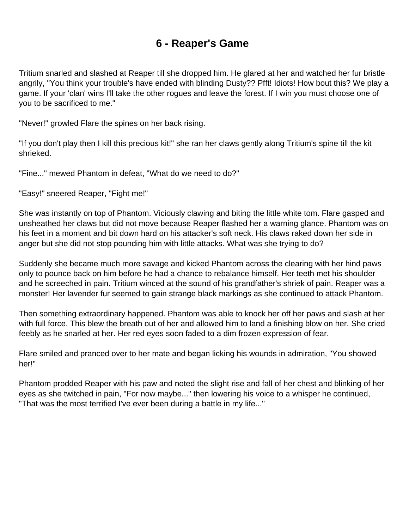#### **6 - Reaper's Game**

<span id="page-6-0"></span>Tritium snarled and slashed at Reaper till she dropped him. He glared at her and watched her fur bristle angrily, "You think your trouble's have ended with blinding Dusty?? Pfft! Idiots! How bout this? We play a game. If your 'clan' wins I'll take the other rogues and leave the forest. If I win you must choose one of you to be sacrificed to me."

"Never!" growled Flare the spines on her back rising.

"If you don't play then I kill this precious kit!" she ran her claws gently along Tritium's spine till the kit shrieked.

"Fine..." mewed Phantom in defeat, "What do we need to do?"

"Easy!" sneered Reaper, "Fight me!"

She was instantly on top of Phantom. Viciously clawing and biting the little white tom. Flare gasped and unsheathed her claws but did not move because Reaper flashed her a warning glance. Phantom was on his feet in a moment and bit down hard on his attacker's soft neck. His claws raked down her side in anger but she did not stop pounding him with little attacks. What was she trying to do?

Suddenly she became much more savage and kicked Phantom across the clearing with her hind paws only to pounce back on him before he had a chance to rebalance himself. Her teeth met his shoulder and he screeched in pain. Tritium winced at the sound of his grandfather's shriek of pain. Reaper was a monster! Her lavender fur seemed to gain strange black markings as she continued to attack Phantom.

Then something extraordinary happened. Phantom was able to knock her off her paws and slash at her with full force. This blew the breath out of her and allowed him to land a finishing blow on her. She cried feebly as he snarled at her. Her red eyes soon faded to a dim frozen expression of fear.

Flare smiled and pranced over to her mate and began licking his wounds in admiration, "You showed her!"

Phantom prodded Reaper with his paw and noted the slight rise and fall of her chest and blinking of her eyes as she twitched in pain, "For now maybe..." then lowering his voice to a whisper he continued, "That was the most terrified I've ever been during a battle in my life..."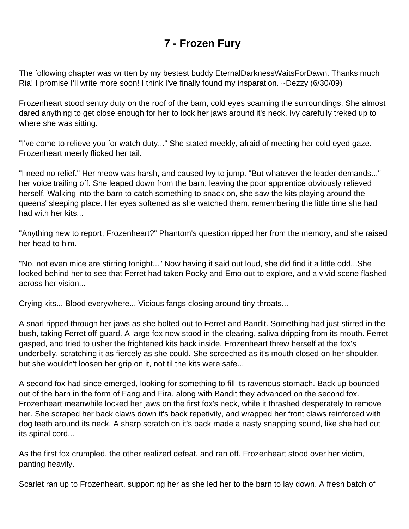# **7 - Frozen Fury**

<span id="page-7-0"></span>The following chapter was written by my bestest buddy EternalDarknessWaitsForDawn. Thanks much Ria! I promise I'll write more soon! I think I've finally found my insparation. ~Dezzy (6/30/09)

Frozenheart stood sentry duty on the roof of the barn, cold eyes scanning the surroundings. She almost dared anything to get close enough for her to lock her jaws around it's neck. Ivy carefully treked up to where she was sitting.

"I've come to relieve you for watch duty..." She stated meekly, afraid of meeting her cold eyed gaze. Frozenheart meerly flicked her tail.

"I need no relief." Her meow was harsh, and caused Ivy to jump. "But whatever the leader demands..." her voice trailing off. She leaped down from the barn, leaving the poor apprentice obviously relieved herself. Walking into the barn to catch something to snack on, she saw the kits playing around the queens' sleeping place. Her eyes softened as she watched them, remembering the little time she had had with her kits...

"Anything new to report, Frozenheart?" Phantom's question ripped her from the memory, and she raised her head to him.

"No, not even mice are stirring tonight..." Now having it said out loud, she did find it a little odd...She looked behind her to see that Ferret had taken Pocky and Emo out to explore, and a vivid scene flashed across her vision...

Crying kits... Blood everywhere... Vicious fangs closing around tiny throats...

A snarl ripped through her jaws as she bolted out to Ferret and Bandit. Something had just stirred in the bush, taking Ferret off-guard. A large fox now stood in the clearing, saliva dripping from its mouth. Ferret gasped, and tried to usher the frightened kits back inside. Frozenheart threw herself at the fox's underbelly, scratching it as fiercely as she could. She screeched as it's mouth closed on her shoulder, but she wouldn't loosen her grip on it, not til the kits were safe...

A second fox had since emerged, looking for something to fill its ravenous stomach. Back up bounded out of the barn in the form of Fang and Fira, along with Bandit they advanced on the second fox. Frozenheart meanwhile locked her jaws on the first fox's neck, while it thrashed desperately to remove her. She scraped her back claws down it's back repetivily, and wrapped her front claws reinforced with dog teeth around its neck. A sharp scratch on it's back made a nasty snapping sound, like she had cut its spinal cord...

As the first fox crumpled, the other realized defeat, and ran off. Frozenheart stood over her victim, panting heavily.

Scarlet ran up to Frozenheart, supporting her as she led her to the barn to lay down. A fresh batch of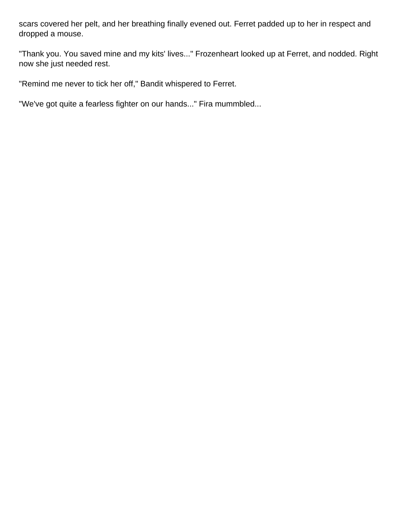scars covered her pelt, and her breathing finally evened out. Ferret padded up to her in respect and dropped a mouse.

"Thank you. You saved mine and my kits' lives..." Frozenheart looked up at Ferret, and nodded. Right now she just needed rest.

"Remind me never to tick her off," Bandit whispered to Ferret.

"We've got quite a fearless fighter on our hands..." Fira mummbled...